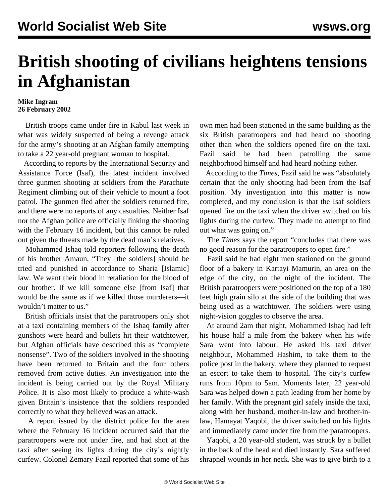## **British shooting of civilians heightens tensions in Afghanistan**

## **Mike Ingram 26 February 2002**

 British troops came under fire in Kabul last week in what was widely suspected of being a revenge attack for the army's shooting at an Afghan family attempting to take a 22 year-old pregnant woman to hospital.

 According to reports by the International Security and Assistance Force (Isaf), the latest incident involved three gunmen shooting at soldiers from the Parachute Regiment climbing out of their vehicle to mount a foot patrol. The gunmen fled after the soldiers returned fire, and there were no reports of any casualties. Neither Isaf nor the Afghan police are officially linking the shooting with the February 16 incident, but this cannot be ruled out given the threats made by the dead man's relatives.

 Mohammed Ishaq told reporters following the death of his brother Amaun, "They [the soldiers] should be tried and punished in accordance to Sharia [Islamic] law. We want their blood in retaliation for the blood of our brother. If we kill someone else [from Isaf] that would be the same as if we killed those murderers—it wouldn't matter to us."

 British officials insist that the paratroopers only shot at a taxi containing members of the Ishaq family after gunshots were heard and bullets hit their watchtower, but Afghan officials have described this as "complete nonsense". Two of the soldiers involved in the shooting have been returned to Britain and the four others removed from active duties. An investigation into the incident is being carried out by the Royal Military Police. It is also most likely to produce a white-wash given Britain's insistence that the soldiers responded correctly to what they believed was an attack.

 A report issued by the district police for the area where the February 16 incident occurred said that the paratroopers were not under fire, and had shot at the taxi after seeing its lights during the city's nightly curfew. Colonel Zemary Fazil reported that some of his own men had been stationed in the same building as the six British paratroopers and had heard no shooting other than when the soldiers opened fire on the taxi. Fazil said he had been patrolling the same neighborhood himself and had heard nothing either.

 According to the *Times*, Fazil said he was "absolutely certain that the only shooting had been from the Isaf position. My investigation into this matter is now completed, and my conclusion is that the Isaf soldiers opened fire on the taxi when the driver switched on his lights during the curfew. They made no attempt to find out what was going on."

 The *Times* says the report "concludes that there was no good reason for the paratroopers to open fire."

 Fazil said he had eight men stationed on the ground floor of a bakery in Kartayi Mamurin, an area on the edge of the city, on the night of the incident. The British paratroopers were positioned on the top of a 180 feet high grain silo at the side of the building that was being used as a watchtower. The soldiers were using night-vision goggles to observe the area.

 At around 2am that night, Mohammed Ishaq had left his house half a mile from the bakery when his wife Sara went into labour. He asked his taxi driver neighbour, Mohammed Hashim, to take them to the police post in the bakery, where they planned to request an escort to take them to hospital. The city's curfew runs from 10pm to 5am. Moments later, 22 year-old Sara was helped down a path leading from her home by her family. With the pregnant girl safely inside the taxi, along with her husband, mother-in-law and brother-inlaw, Hamayat Yaqobi, the driver switched on his lights and immediately came under fire from the paratroopers.

 Yaqobi, a 20 year-old student, was struck by a bullet in the back of the head and died instantly. Sara suffered shrapnel wounds in her neck. She was to give birth to a